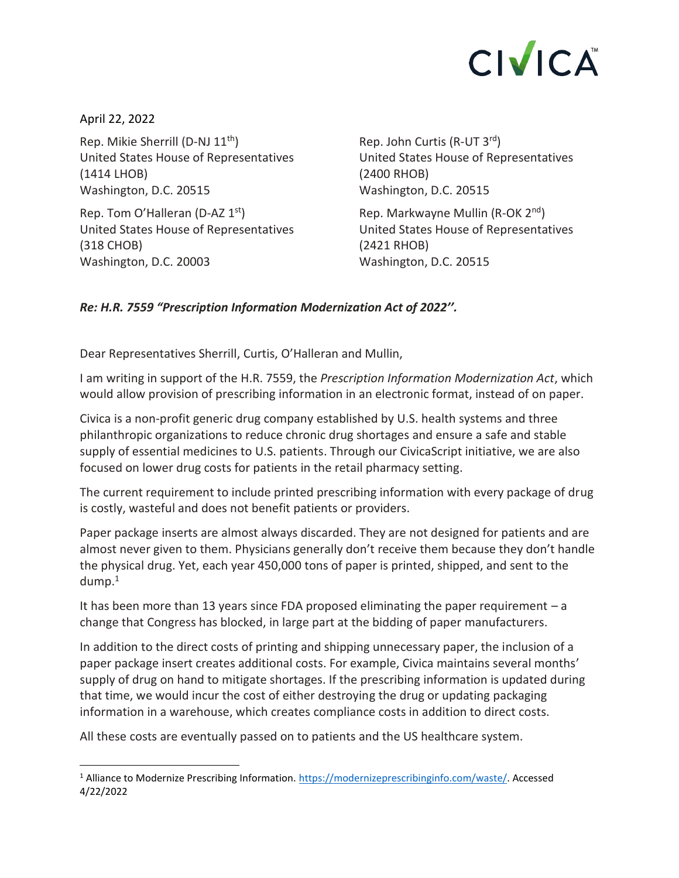## **CIVICA**

April 22, 2022 Rep. Mikie Sherrill (D-NJ 11<sup>th</sup>) United States House of Representatives (1414 LHOB) Washington, D.C. 20515

Rep. Tom O'Halleran (D-AZ 1st) United States House of Representatives (318 CHOB) Washington, D.C. 20003

Rep. John Curtis (R-UT 3rd) United States House of Representatives (2400 RHOB) Washington, D.C. 20515

Rep. Markwayne Mullin (R-OK 2nd) United States House of Representatives (2421 RHOB) Washington, D.C. 20515

## *Re: H.R. 7559 "Prescription Information Modernization Act of 2022''.*

Dear Representatives Sherrill, Curtis, O'Halleran and Mullin,

I am writing in support of the H.R. 7559, the *Prescription Information Modernization Act*, which would allow provision of prescribing information in an electronic format, instead of on paper.

Civica is a non-profit generic drug company established by U.S. health systems and three philanthropic organizations to reduce chronic drug shortages and ensure a safe and stable supply of essential medicines to U.S. patients. Through our CivicaScript initiative, we are also focused on lower drug costs for patients in the retail pharmacy setting.

The current requirement to include printed prescribing information with every package of drug is costly, wasteful and does not benefit patients or providers.

Paper package inserts are almost always discarded. They are not designed for patients and are almost never given to them. Physicians generally don't receive them because they don't handle the physical drug. Yet, each year 450,000 tons of paper is printed, shipped, and sent to the dump. 1

It has been more than 13 years since FDA proposed eliminating the paper requirement  $-a$ change that Congress has blocked, in large part at the bidding of paper manufacturers.

In addition to the direct costs of printing and shipping unnecessary paper, the inclusion of a paper package insert creates additional costs. For example, Civica maintains several months' supply of drug on hand to mitigate shortages. If the prescribing information is updated during that time, we would incur the cost of either destroying the drug or updating packaging information in a warehouse, which creates compliance costs in addition to direct costs.

All these costs are eventually passed on to patients and the US healthcare system.

<sup>&</sup>lt;sup>1</sup> Alliance to Modernize Prescribing Information[. https://modernizeprescribinginfo.com/waste/.](https://modernizeprescribinginfo.com/waste/) Accessed 4/22/2022